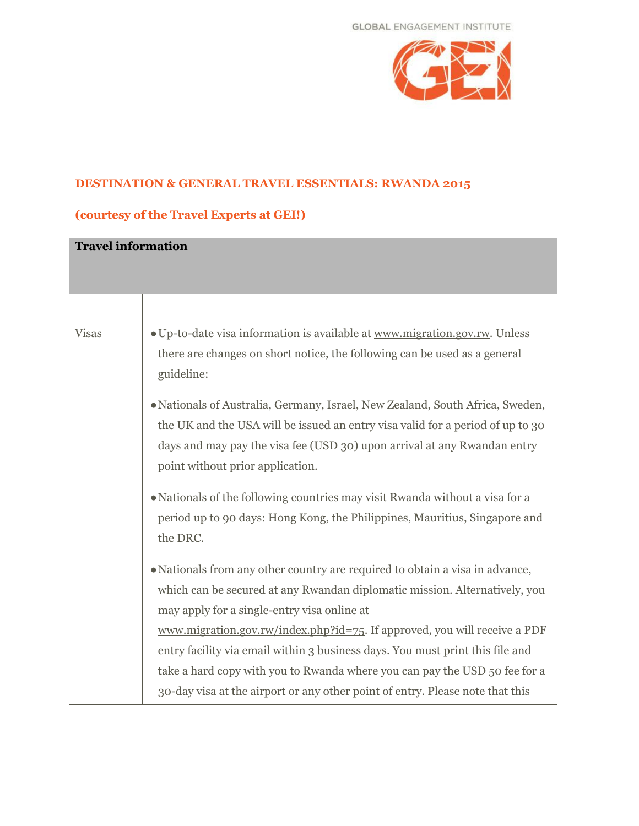

## **DESTINATION & GENERAL TRAVEL ESSENTIALS: RWANDA 2015**

## **(courtesy of the Travel Experts at GEI!)**

| <b>Travel information</b> |                                                                                                                                                                                                                                                                                 |
|---------------------------|---------------------------------------------------------------------------------------------------------------------------------------------------------------------------------------------------------------------------------------------------------------------------------|
| <b>Visas</b>              | • Up-to-date visa information is available at www.migration.gov.rw. Unless                                                                                                                                                                                                      |
|                           | there are changes on short notice, the following can be used as a general<br>guideline:                                                                                                                                                                                         |
|                           | • Nationals of Australia, Germany, Israel, New Zealand, South Africa, Sweden,<br>the UK and the USA will be issued an entry visa valid for a period of up to 30<br>days and may pay the visa fee (USD 30) upon arrival at any Rwandan entry<br>point without prior application. |
|                           | • Nationals of the following countries may visit Rwanda without a visa for a<br>period up to 90 days: Hong Kong, the Philippines, Mauritius, Singapore and<br>the DRC.                                                                                                          |
|                           | • Nationals from any other country are required to obtain a visa in advance,                                                                                                                                                                                                    |
|                           | which can be secured at any Rwandan diplomatic mission. Alternatively, you<br>may apply for a single-entry visa online at                                                                                                                                                       |
|                           | www.migration.gov.rw/index.php?id=75. If approved, you will receive a PDF                                                                                                                                                                                                       |
|                           | entry facility via email within 3 business days. You must print this file and                                                                                                                                                                                                   |
|                           | take a hard copy with you to Rwanda where you can pay the USD 50 fee for a                                                                                                                                                                                                      |
|                           | 30-day visa at the airport or any other point of entry. Please note that this                                                                                                                                                                                                   |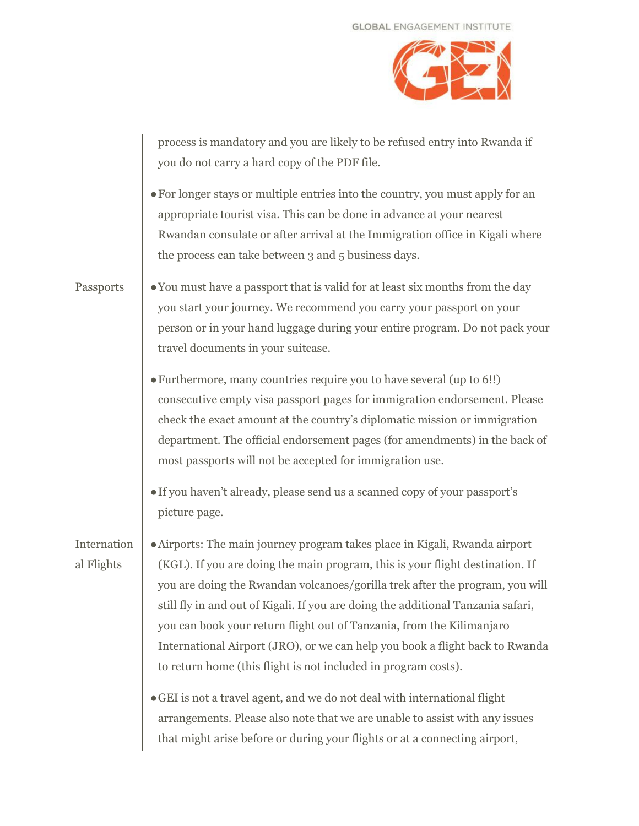

|             | process is mandatory and you are likely to be refused entry into Rwanda if                                                                                                                                                                                                                     |
|-------------|------------------------------------------------------------------------------------------------------------------------------------------------------------------------------------------------------------------------------------------------------------------------------------------------|
|             | you do not carry a hard copy of the PDF file.                                                                                                                                                                                                                                                  |
|             | • For longer stays or multiple entries into the country, you must apply for an<br>appropriate tourist visa. This can be done in advance at your nearest<br>Rwandan consulate or after arrival at the Immigration office in Kigali where<br>the process can take between 3 and 5 business days. |
| Passports   | • You must have a passport that is valid for at least six months from the day                                                                                                                                                                                                                  |
|             | you start your journey. We recommend you carry your passport on your                                                                                                                                                                                                                           |
|             | person or in your hand luggage during your entire program. Do not pack your                                                                                                                                                                                                                    |
|             | travel documents in your suitcase.                                                                                                                                                                                                                                                             |
|             | • Furthermore, many countries require you to have several (up to 6!!)                                                                                                                                                                                                                          |
|             | consecutive empty visa passport pages for immigration endorsement. Please                                                                                                                                                                                                                      |
|             | check the exact amount at the country's diplomatic mission or immigration                                                                                                                                                                                                                      |
|             | department. The official endorsement pages (for amendments) in the back of                                                                                                                                                                                                                     |
|             | most passports will not be accepted for immigration use.                                                                                                                                                                                                                                       |
|             | • If you haven't already, please send us a scanned copy of your passport's                                                                                                                                                                                                                     |
|             | picture page.                                                                                                                                                                                                                                                                                  |
|             |                                                                                                                                                                                                                                                                                                |
| Internation | · Airports: The main journey program takes place in Kigali, Rwanda airport                                                                                                                                                                                                                     |
| al Flights  | (KGL). If you are doing the main program, this is your flight destination. If                                                                                                                                                                                                                  |
|             | you are doing the Rwandan volcanoes/gorilla trek after the program, you will                                                                                                                                                                                                                   |
|             | still fly in and out of Kigali. If you are doing the additional Tanzania safari,                                                                                                                                                                                                               |
|             | you can book your return flight out of Tanzania, from the Kilimanjaro                                                                                                                                                                                                                          |
|             | International Airport (JRO), or we can help you book a flight back to Rwanda                                                                                                                                                                                                                   |
|             | to return home (this flight is not included in program costs).                                                                                                                                                                                                                                 |
|             | • GEI is not a travel agent, and we do not deal with international flight                                                                                                                                                                                                                      |
|             | arrangements. Please also note that we are unable to assist with any issues                                                                                                                                                                                                                    |
|             | that might arise before or during your flights or at a connecting airport,                                                                                                                                                                                                                     |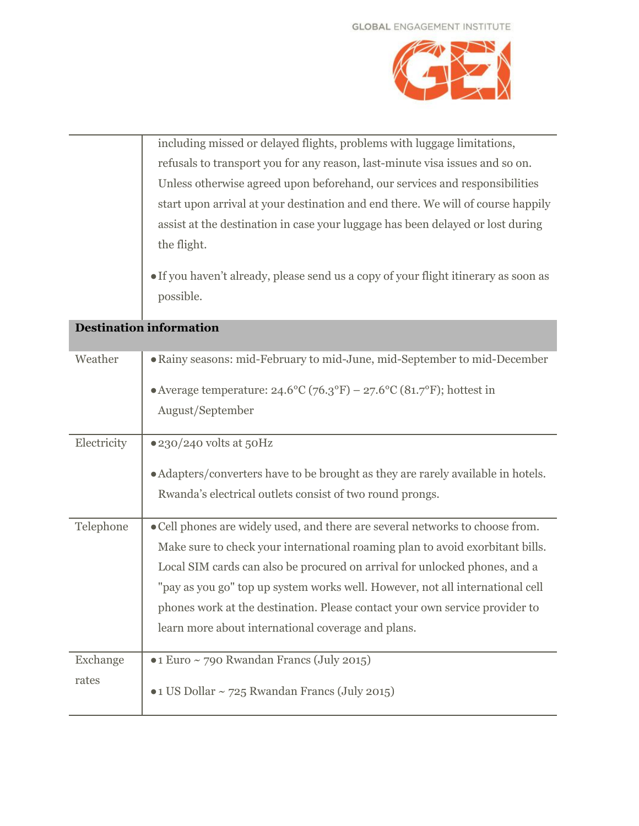

including missed or delayed flights, problems with luggage limitations, refusals to transport you for any reason, last-minute visa issues and so on. Unless otherwise agreed upon beforehand, our services and responsibilities start upon arrival at your destination and end there. We will of course happily assist at the destination in case your luggage has been delayed or lost during the flight.

●If you haven't already, please send us a copy of your flight itinerary as soon as possible.

| Weather     | • Rainy seasons: mid-February to mid-June, mid-September to mid-December               |
|-------------|----------------------------------------------------------------------------------------|
|             | • Average temperature: $24.6^{\circ}C$ (76.3°F) – $27.6^{\circ}C$ (81.7°F); hottest in |
|             | August/September                                                                       |
| Electricity | $\bullet$ 230/240 volts at 50Hz                                                        |
|             | • Adapters/converters have to be brought as they are rarely available in hotels.       |
|             | Rwanda's electrical outlets consist of two round prongs.                               |
| Telephone   | • Cell phones are widely used, and there are several networks to choose from.          |
|             | Make sure to check your international roaming plan to avoid exorbitant bills.          |
|             | Local SIM cards can also be procured on arrival for unlocked phones, and a             |
|             | "pay as you go" top up system works well. However, not all international cell          |
|             | phones work at the destination. Please contact your own service provider to            |
|             | learn more about international coverage and plans.                                     |
| Exchange    | •1 Euro ~ 790 Rwandan Francs (July 2015)                                               |
| rates       | •1 US Dollar ~ 725 Rwandan Francs (July 2015)                                          |

**Destination information**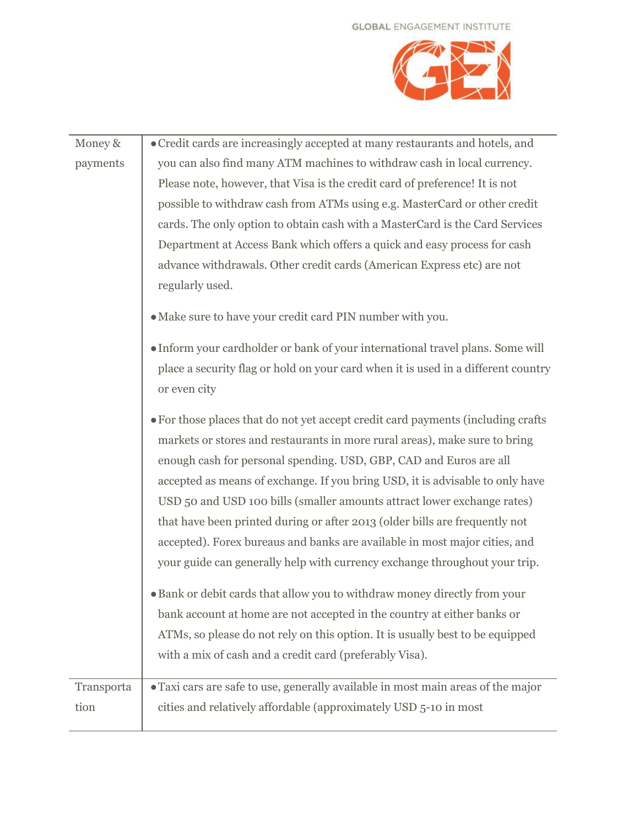## **GLOBAL ENGAGEMENT INSTITUTE**



| Money &    | • Credit cards are increasingly accepted at many restaurants and hotels, and      |
|------------|-----------------------------------------------------------------------------------|
| payments   | you can also find many ATM machines to withdraw cash in local currency.           |
|            | Please note, however, that Visa is the credit card of preference! It is not       |
|            | possible to withdraw cash from ATMs using e.g. MasterCard or other credit         |
|            | cards. The only option to obtain cash with a MasterCard is the Card Services      |
|            | Department at Access Bank which offers a quick and easy process for cash          |
|            | advance withdrawals. Other credit cards (American Express etc) are not            |
|            | regularly used.                                                                   |
|            | • Make sure to have your credit card PIN number with you.                         |
|            | • Inform your cardholder or bank of your international travel plans. Some will    |
|            | place a security flag or hold on your card when it is used in a different country |
|            | or even city                                                                      |
|            | • For those places that do not yet accept credit card payments (including crafts  |
|            | markets or stores and restaurants in more rural areas), make sure to bring        |
|            | enough cash for personal spending. USD, GBP, CAD and Euros are all                |
|            | accepted as means of exchange. If you bring USD, it is advisable to only have     |
|            | USD 50 and USD 100 bills (smaller amounts attract lower exchange rates)           |
|            | that have been printed during or after 2013 (older bills are frequently not       |
|            | accepted). Forex bureaus and banks are available in most major cities, and        |
|            | your guide can generally help with currency exchange throughout your trip.        |
|            | • Bank or debit cards that allow you to withdraw money directly from your         |
|            | bank account at home are not accepted in the country at either banks or           |
|            | ATMs, so please do not rely on this option. It is usually best to be equipped     |
|            | with a mix of cash and a credit card (preferably Visa).                           |
| Transporta | · Taxi cars are safe to use, generally available in most main areas of the major  |
| tion       | cities and relatively affordable (approximately USD 5-10 in most                  |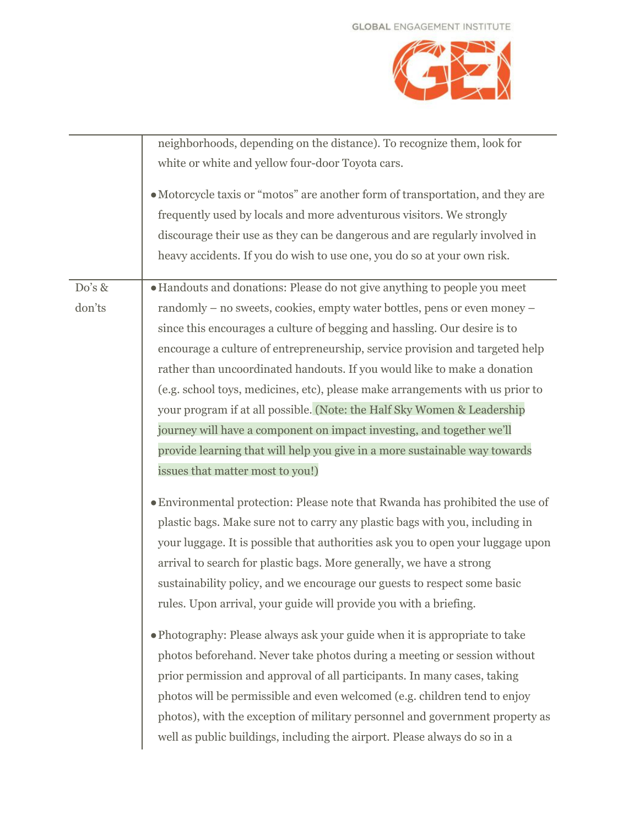

|        | neighborhoods, depending on the distance). To recognize them, look for          |
|--------|---------------------------------------------------------------------------------|
|        | white or white and yellow four-door Toyota cars.                                |
|        | • Motorcycle taxis or "motos" are another form of transportation, and they are  |
|        | frequently used by locals and more adventurous visitors. We strongly            |
|        | discourage their use as they can be dangerous and are regularly involved in     |
|        | heavy accidents. If you do wish to use one, you do so at your own risk.         |
| Do's & | · Handouts and donations: Please do not give anything to people you meet        |
| don'ts | randomly – no sweets, cookies, empty water bottles, pens or even money –        |
|        | since this encourages a culture of begging and hassling. Our desire is to       |
|        | encourage a culture of entrepreneurship, service provision and targeted help    |
|        | rather than uncoordinated handouts. If you would like to make a donation        |
|        | (e.g. school toys, medicines, etc), please make arrangements with us prior to   |
|        | your program if at all possible. (Note: the Half Sky Women & Leadership         |
|        | journey will have a component on impact investing, and together we'll           |
|        | provide learning that will help you give in a more sustainable way towards      |
|        | issues that matter most to you!)                                                |
|        |                                                                                 |
|        | · Environmental protection: Please note that Rwanda has prohibited the use of   |
|        | plastic bags. Make sure not to carry any plastic bags with you, including in    |
|        | your luggage. It is possible that authorities ask you to open your luggage upon |
|        | arrival to search for plastic bags. More generally, we have a strong            |
|        | sustainability policy, and we encourage our guests to respect some basic        |
|        | rules. Upon arrival, your guide will provide you with a briefing.               |
|        |                                                                                 |
|        | • Photography: Please always ask your guide when it is appropriate to take      |
|        | photos beforehand. Never take photos during a meeting or session without        |
|        | prior permission and approval of all participants. In many cases, taking        |
|        | photos will be permissible and even welcomed (e.g. children tend to enjoy       |
|        | photos), with the exception of military personnel and government property as    |
|        | well as public buildings, including the airport. Please always do so in a       |
|        |                                                                                 |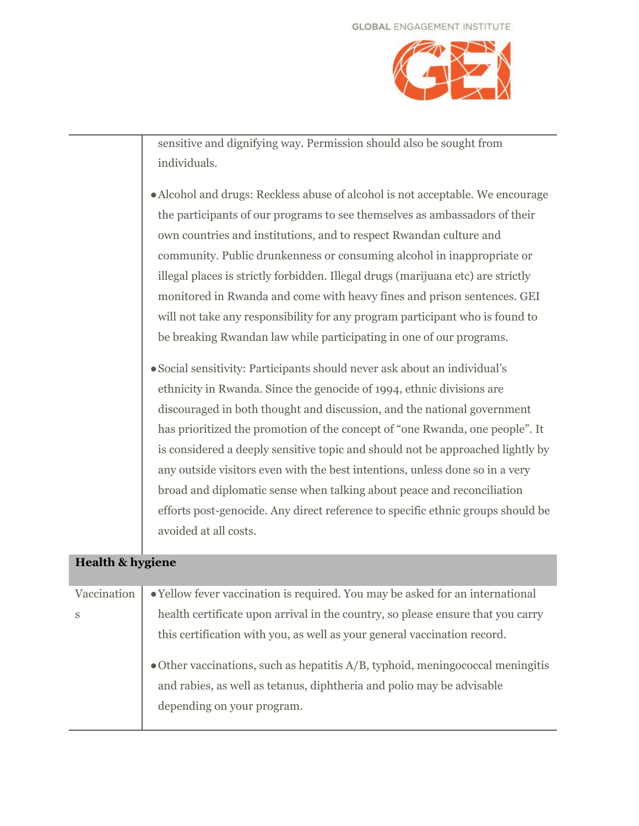

sensitive and dignifying way. Permission should also be sought from individuals.

- ●Alcohol and drugs: Reckless abuse of alcohol is not acceptable. We encourage the participants of our programs to see themselves as ambassadors of their own countries and institutions, and to respect Rwandan culture and community. Public drunkenness or consuming alcohol in inappropriate or illegal places is strictly forbidden. Illegal drugs (marijuana etc) are strictly monitored in Rwanda and come with heavy fines and prison sentences. GEI will not take any responsibility for any program participant who is found to be breaking Rwandan law while participating in one of our programs.
- ●Social sensitivity: Participants should never ask about an individual's ethnicity in Rwanda. Since the genocide of 1994, ethnic divisions are discouraged in both thought and discussion, and the national government has prioritized the promotion of the concept of "one Rwanda, one people". It is considered a deeply sensitive topic and should not be approached lightly by any outside visitors even with the best intentions, unless done so in a very broad and diplomatic sense when talking about peace and reconciliation efforts post-genocide. Any direct reference to specific ethnic groups should be avoided at all costs.

## **Health & hygiene**

| Vaccination  | • Yellow fever vaccination is required. You may be asked for an international                                                                                                                    |
|--------------|--------------------------------------------------------------------------------------------------------------------------------------------------------------------------------------------------|
| <sub>S</sub> | health certificate upon arrival in the country, so please ensure that you carry                                                                                                                  |
|              | this certification with you, as well as your general vaccination record.                                                                                                                         |
|              | $\bullet$ Other vaccinations, such as hepatitis $A/B$ , typhoid, meningococcal meningitis<br>and rabies, as well as tetanus, diphtheria and polio may be advisable<br>depending on your program. |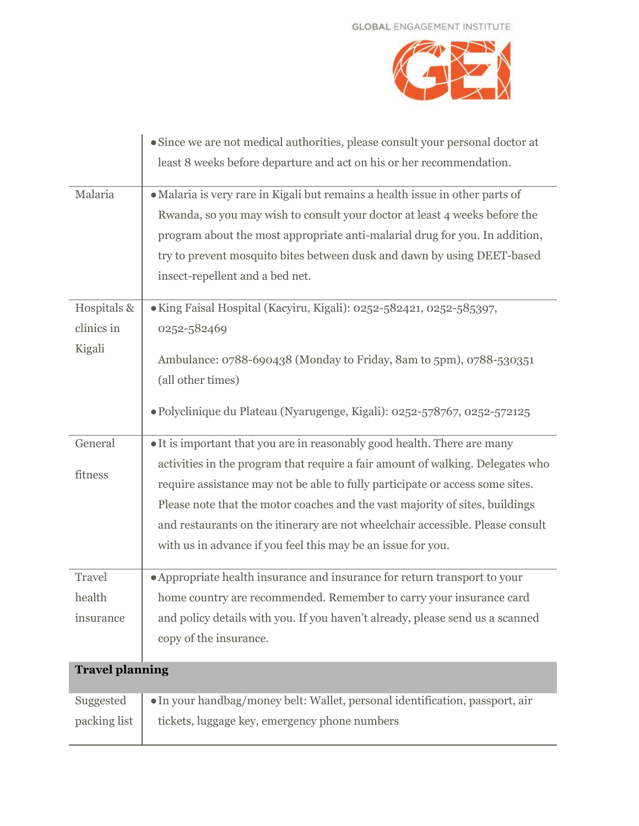

|                        | • Since we are not medical authorities, please consult your personal doctor at |
|------------------------|--------------------------------------------------------------------------------|
|                        | least 8 weeks before departure and act on his or her recommendation.           |
|                        |                                                                                |
| Malaria                | · Malaria is very rare in Kigali but remains a health issue in other parts of  |
|                        | Rwanda, so you may wish to consult your doctor at least 4 weeks before the     |
|                        | program about the most appropriate anti-malarial drug for you. In addition,    |
|                        | try to prevent mosquito bites between dusk and dawn by using DEET-based        |
|                        | insect-repellent and a bed net.                                                |
|                        |                                                                                |
| Hospitals &            | · King Faisal Hospital (Kacyiru, Kigali): 0252-582421, 0252-585397,            |
| clinics in             | 0252-582469                                                                    |
| Kigali                 | Ambulance: 0788-690438 (Monday to Friday, 8am to 5pm), 0788-530351             |
|                        |                                                                                |
|                        | (all other times)                                                              |
|                        | · Polyclinique du Plateau (Nyarugenge, Kigali): 0252-578767, 0252-572125       |
|                        |                                                                                |
| General                | • It is important that you are in reasonably good health. There are many       |
| fitness                | activities in the program that require a fair amount of walking. Delegates who |
|                        | require assistance may not be able to fully participate or access some sites.  |
|                        | Please note that the motor coaches and the vast majority of sites, buildings   |
|                        | and restaurants on the itinerary are not wheelchair accessible. Please consult |
|                        | with us in advance if you feel this may be an issue for you.                   |
|                        |                                                                                |
| Travel                 | • Appropriate health insurance and insurance for return transport to your      |
| health                 | home country are recommended. Remember to carry your insurance card            |
| insurance              | and policy details with you. If you haven't already, please send us a scanned  |
|                        | copy of the insurance.                                                         |
|                        |                                                                                |
| <b>Travel planning</b> |                                                                                |
| Suggested              | • In your handbag/money belt: Wallet, personal identification, passport, air   |
| packing list           | tickets, luggage key, emergency phone numbers                                  |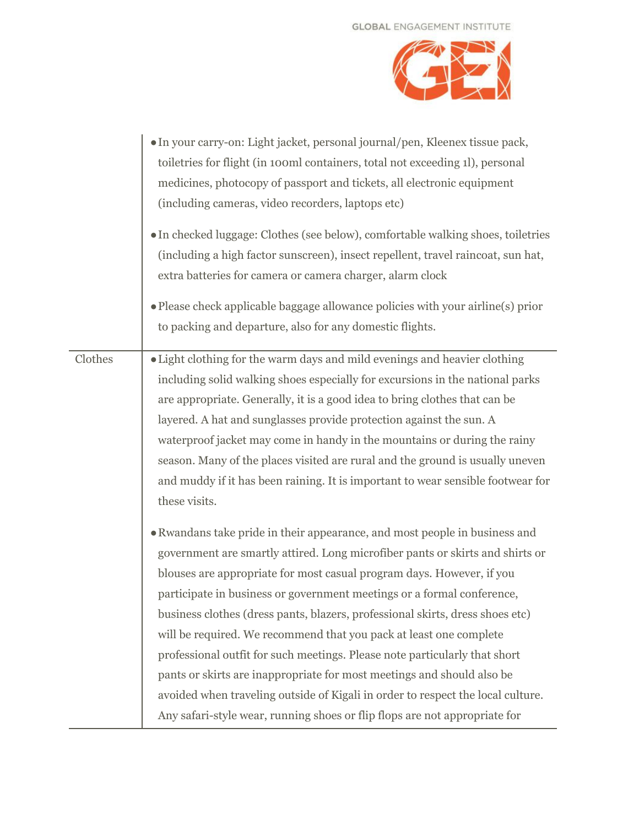

|         | · In your carry-on: Light jacket, personal journal/pen, Kleenex tissue pack,<br>toiletries for flight (in 100ml containers, total not exceeding 1l), personal<br>medicines, photocopy of passport and tickets, all electronic equipment<br>(including cameras, video recorders, laptops etc)<br>• In checked luggage: Clothes (see below), comfortable walking shoes, toiletries<br>(including a high factor sunscreen), insect repellent, travel raincoat, sun hat,<br>extra batteries for camera or camera charger, alarm clock<br>• Please check applicable baggage allowance policies with your airline(s) prior<br>to packing and departure, also for any domestic flights.                                                                                                               |
|---------|------------------------------------------------------------------------------------------------------------------------------------------------------------------------------------------------------------------------------------------------------------------------------------------------------------------------------------------------------------------------------------------------------------------------------------------------------------------------------------------------------------------------------------------------------------------------------------------------------------------------------------------------------------------------------------------------------------------------------------------------------------------------------------------------|
| Clothes | • Light clothing for the warm days and mild evenings and heavier clothing<br>including solid walking shoes especially for excursions in the national parks<br>are appropriate. Generally, it is a good idea to bring clothes that can be<br>layered. A hat and sunglasses provide protection against the sun. A<br>waterproof jacket may come in handy in the mountains or during the rainy<br>season. Many of the places visited are rural and the ground is usually uneven<br>and muddy if it has been raining. It is important to wear sensible footwear for<br>these visits.                                                                                                                                                                                                               |
|         | • Rwandans take pride in their appearance, and most people in business and<br>government are smartly attired. Long microfiber pants or skirts and shirts or<br>blouses are appropriate for most casual program days. However, if you<br>participate in business or government meetings or a formal conference,<br>business clothes (dress pants, blazers, professional skirts, dress shoes etc)<br>will be required. We recommend that you pack at least one complete<br>professional outfit for such meetings. Please note particularly that short<br>pants or skirts are inappropriate for most meetings and should also be<br>avoided when traveling outside of Kigali in order to respect the local culture.<br>Any safari-style wear, running shoes or flip flops are not appropriate for |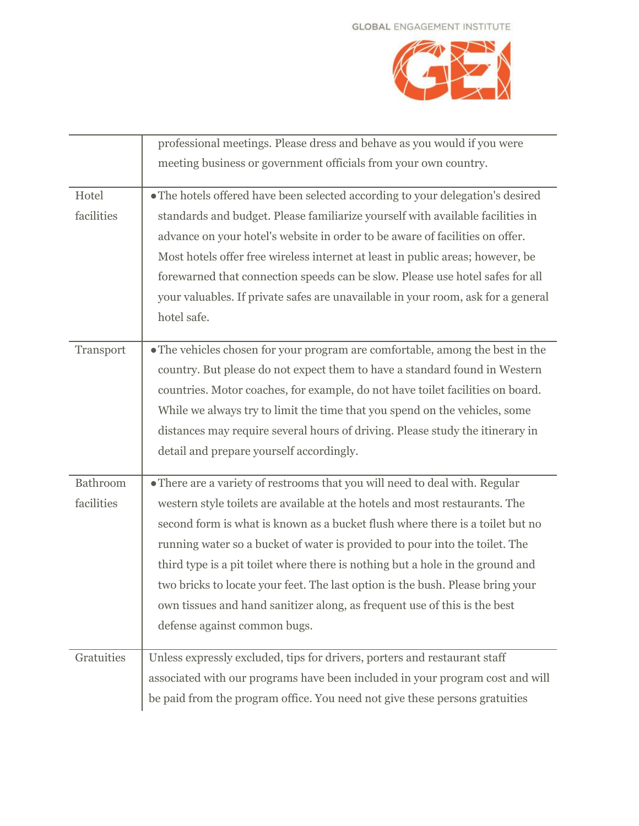

|            | professional meetings. Please dress and behave as you would if you were          |
|------------|----------------------------------------------------------------------------------|
|            | meeting business or government officials from your own country.                  |
| Hotel      | • The hotels offered have been selected according to your delegation's desired   |
| facilities | standards and budget. Please familiarize yourself with available facilities in   |
|            | advance on your hotel's website in order to be aware of facilities on offer.     |
|            | Most hotels offer free wireless internet at least in public areas; however, be   |
|            | forewarned that connection speeds can be slow. Please use hotel safes for all    |
|            | your valuables. If private safes are unavailable in your room, ask for a general |
|            | hotel safe.                                                                      |
| Transport  | • The vehicles chosen for your program are comfortable, among the best in the    |
|            | country. But please do not expect them to have a standard found in Western       |
|            | countries. Motor coaches, for example, do not have toilet facilities on board.   |
|            | While we always try to limit the time that you spend on the vehicles, some       |
|            | distances may require several hours of driving. Please study the itinerary in    |
|            | detail and prepare yourself accordingly.                                         |
| Bathroom   | • There are a variety of restrooms that you will need to deal with. Regular      |
| facilities | western style toilets are available at the hotels and most restaurants. The      |
|            | second form is what is known as a bucket flush where there is a toilet but no    |
|            | running water so a bucket of water is provided to pour into the toilet. The      |
|            | third type is a pit toilet where there is nothing but a hole in the ground and   |
|            | two bricks to locate your feet. The last option is the bush. Please bring your   |
|            | own tissues and hand sanitizer along, as frequent use of this is the best        |
|            | defense against common bugs.                                                     |
| Gratuities | Unless expressly excluded, tips for drivers, porters and restaurant staff        |
|            | associated with our programs have been included in your program cost and will    |
|            | be paid from the program office. You need not give these persons gratuities      |
|            |                                                                                  |